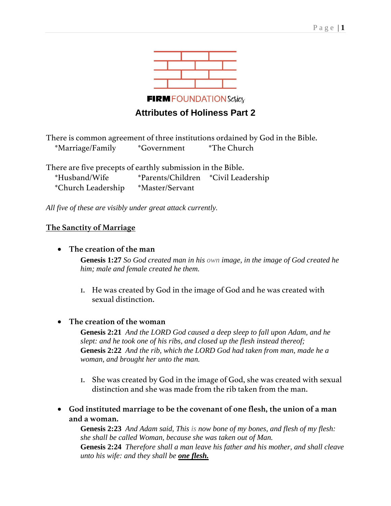

**FIRM FOUNDATION Seties** 

# **Attributes of Holiness Part 2**

There is common agreement of three institutions ordained by God in the Bible. \*Marriage/Family \*Government \*The Church

There are five precepts of earthly submission in the Bible. \*Husband/Wife \*Parents/Children \*Civil Leadership \*Church Leadership \*Master/Servant

*All five of these are visibly under great attack currently.*

#### **The Sanctity of Marriage**

• **The creation of the man**

**Genesis 1:27** *So God created man in his own image, in the image of God created he him; male and female created he them.* 

- 1. He was created by God in the image of God and he was created with sexual distinction.
- **The creation of the woman**

**Genesis 2:21** *And the LORD God caused a deep sleep to fall upon Adam, and he slept: and he took one of his ribs, and closed up the flesh instead thereof;* **Genesis 2:22** *And the rib, which the LORD God had taken from man, made he a woman, and brought her unto the man.*

- 1. She was created by God in the image of God, she was created with sexual distinction and she was made from the rib taken from the man.
- **God instituted marriage to be the covenant of one flesh, the union of a man and a woman.**

**Genesis 2:23** *And Adam said, This is now bone of my bones, and flesh of my flesh: she shall be called Woman, because she was taken out of Man.* **Genesis 2:24** *Therefore shall a man leave his father and his mother, and shall cleave unto his wife: and they shall be one flesh.*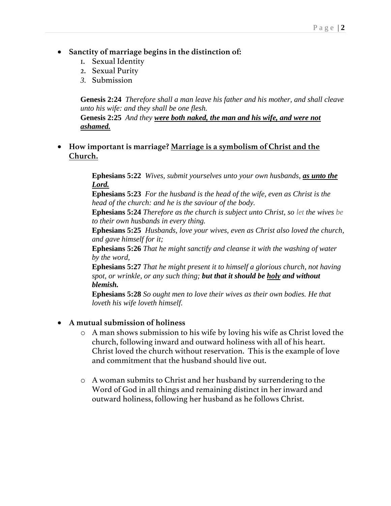- **Sanctity of marriage begins in the distinction of:**
	- 1. Sexual Identity
	- 2. Sexual Purity
	- *3.* Submission

**Genesis 2:24** *Therefore shall a man leave his father and his mother, and shall cleave unto his wife: and they shall be one flesh.* **Genesis 2:25** *And they were both naked, the man and his wife, and were not ashamed.*

• **How important is marriage? Marriage is a symbolism of Christ and the Church.**

> **Ephesians 5:22** *Wives, submit yourselves unto your own husbands, as unto the Lord.*

**Ephesians 5:23** *For the husband is the head of the wife, even as Christ is the head of the church: and he is the saviour of the body.*

**Ephesians 5:24** *Therefore as the church is subject unto Christ, so let the wives be to their own husbands in every thing.*

**Ephesians 5:25** *Husbands, love your wives, even as Christ also loved the church, and gave himself for it;*

**Ephesians 5:26** *That he might sanctify and cleanse it with the washing of water by the word,*

**Ephesians 5:27** *That he might present it to himself a glorious church, not having spot, or wrinkle, or any such thing; but that it should be holy and without blemish.*

**Ephesians 5:28** *So ought men to love their wives as their own bodies. He that loveth his wife loveth himself.*

#### • **A mutual submission of holiness**

- o A man shows submission to his wife by loving his wife as Christ loved the church, following inward and outward holiness with all of his heart. Christ loved the church without reservation. This is the example of love and commitment that the husband should live out.
- o A woman submits to Christ and her husband by surrendering to the Word of God in all things and remaining distinct in her inward and outward holiness, following her husband as he follows Christ.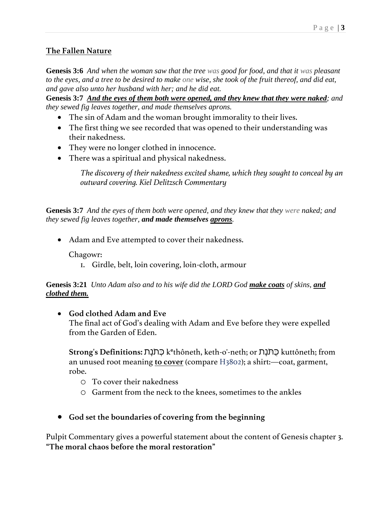# **The Fallen Nature**

**Genesis 3:6** *And when the woman saw that the tree was good for food, and that it was pleasant to the eyes, and a tree to be desired to make one wise, she took of the fruit thereof, and did eat, and gave also unto her husband with her; and he did eat.*

**Genesis 3:7** *And the eyes of them both were opened, and they knew that they were naked; and they sewed fig leaves together, and made themselves aprons.*

- The sin of Adam and the woman brought immorality to their lives.
- The first thing we see recorded that was opened to their understanding was their nakedness.
- They were no longer clothed in innocence.
- There was a spiritual and physical nakedness.

*The discovery of their nakedness excited shame, which they sought to conceal by an outward covering. Kiel Delitzsch Commentary*

**Genesis 3:7** *And the eyes of them both were opened, and they knew that they were naked; and they sewed fig leaves together, and made themselves aprons.*

• Adam and Eve attempted to cover their nakedness.

Chagowr:

1. Girdle, belt, loin covering, loin-cloth, armour

**Genesis 3:21** *Unto Adam also and to his wife did the LORD God make coats of skins, and clothed them.*

• **God clothed Adam and Eve** The final act of God's dealing with Adam and Eve before they were expelled from the Garden of Eden.

**Strong's Definitions:** תֶנֹ תְּכ kᵉthôneth, keth-o'-neth; or תֶנֹ תֻּכ kuttôneth; from an unused root meaning **to cover** (compare [H3802\)](https://iphone.blb.org/apk/lexicon.cfm?Strongs=H3802&t=KJV&platform=ios); a shirt:—coat, garment, robe.

- o To cover their nakedness
- o Garment from the neck to the knees, sometimes to the ankles
- **God set the boundaries of covering from the beginning**

Pulpit Commentary gives a powerful statement about the content of Genesis chapter 3. **"The moral chaos before the moral restoration"**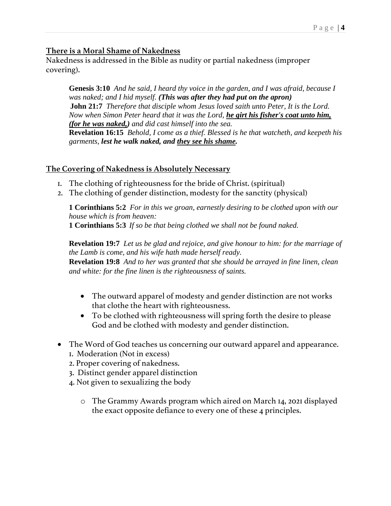## **There is a Moral Shame of Nakedness**

Nakedness is addressed in the Bible as nudity or partial nakedness (improper covering).

**Genesis 3:10** *And he said, I heard thy voice in the garden, and I was afraid, because I was naked; and I hid myself. (This was after they had put on the apron)* **John 21:7** *Therefore that disciple whom Jesus loved saith unto Peter, It is the Lord. Now when Simon Peter heard that it was the Lord, he girt his fisher's coat unto him, (for he was naked,) and did cast himself into the sea.* **Revelation 16:15** *Behold, I come as a thief. Blessed is he that watcheth, and keepeth his garments, lest he walk naked, and they see his shame.*

## **The Covering of Nakedness is Absolutely Necessary**

- 1. The clothing of righteousness for the bride of Christ. (spiritual)
- 2. The clothing of gender distinction, modesty for the sanctity (physical)

**1 Corinthians 5:2** *For in this we groan, earnestly desiring to be clothed upon with our house which is from heaven:* **1 Corinthians 5:3** *If so be that being clothed we shall not be found naked.*

**Revelation 19:7** *Let us be glad and rejoice, and give honour to him: for the marriage of the Lamb is come, and his wife hath made herself ready.*

**Revelation 19:8** *And to her was granted that she should be arrayed in fine linen, clean and white: for the fine linen is the righteousness of saints.*

- The outward apparel of modesty and gender distinction are not works that clothe the heart with righteousness.
- To be clothed with righteousness will spring forth the desire to please God and be clothed with modesty and gender distinction.
- The Word of God teaches us concerning our outward apparel and appearance.
	- 1. Moderation (Not in excess)
	- 2. Proper covering of nakedness.
	- 3. Distinct gender apparel distinction
	- 4. Not given to sexualizing the body
		- o The Grammy Awards program which aired on March 14, 2021 displayed the exact opposite defiance to every one of these 4 principles.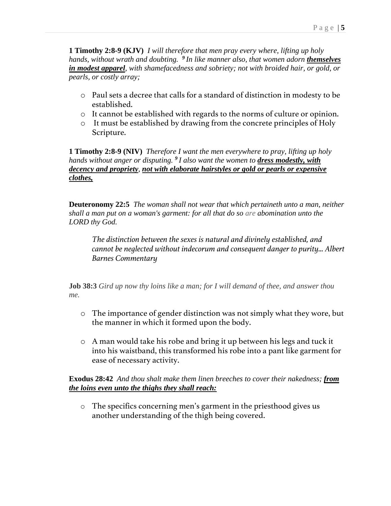**1 Timothy 2:8-9 (KJV)** *I will therefore that men pray every where, lifting up holy hands, without wrath and doubting. 9 In like manner also, that women adorn themselves in modest apparel, with shamefacedness and sobriety; not with broided hair, or gold, or pearls, or costly array;*

- o Paul sets a decree that calls for a standard of distinction in modesty to be established.
- o It cannot be established with regards to the norms of culture or opinion.
- o It must be established by drawing from the concrete principles of Holy Scripture.

**1 Timothy 2:8-9 (NIV)** *Therefore I want the men everywhere to pray, lifting up holy hands without anger or disputing. <sup>9</sup> I also want the women to dress modestly, with decency and propriety, not with elaborate hairstyles or gold or pearls or expensive clothes,*

**Deuteronomy 22:5** *The woman shall not wear that which pertaineth unto a man, neither shall a man put on a woman's garment: for all that do so are abomination unto the LORD thy God.*

*The distinction between the sexes is natural and divinely established, and cannot be neglected without indecorum and consequent danger to purity... Albert Barnes Commentary*

**Job 38:3** *Gird up now thy loins like a man; for I will demand of thee, and answer thou me.*

- o The importance of gender distinction was not simply what they wore, but the manner in which it formed upon the body.
- o A man would take his robe and bring it up between his legs and tuck it into his waistband, this transformed his robe into a pant like garment for ease of necessary activity.

## **Exodus 28:42** *And thou shalt make them linen breeches to cover their nakedness; from the loins even unto the thighs they shall reach:*

o The specifics concerning men's garment in the priesthood gives us another understanding of the thigh being covered.